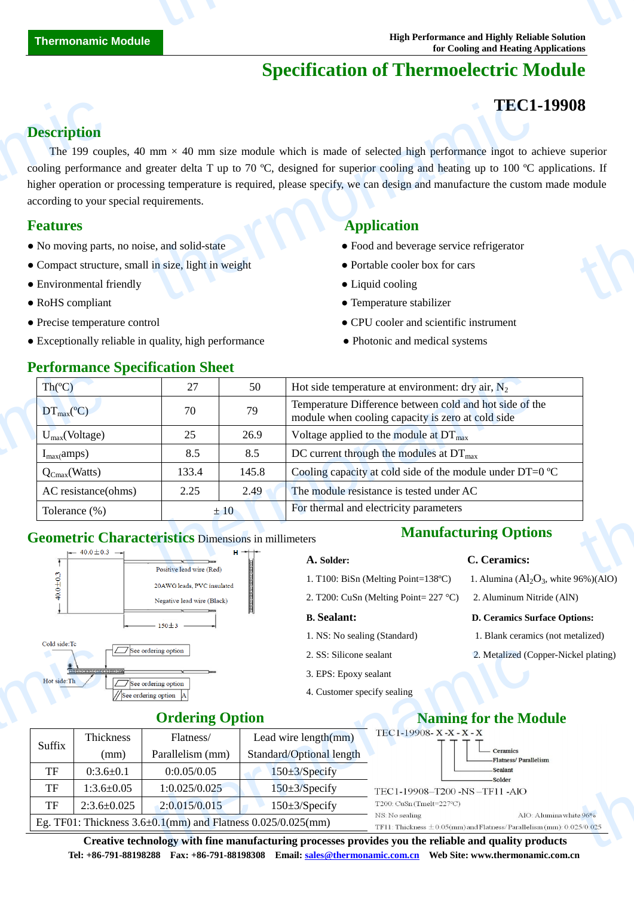# **Specification of Thermoelectric Module**

## **TEC1-19908**

## **Description**

The 199 couples, 40 mm  $\times$  40 mm size module which is made of selected high performance ingot to achieve superior cooling performance and greater delta T up to 70  $\mathbb{C}$ , designed for superior cooling and heating up to 100  $\mathbb{C}$  applications. If higher operation or processing temperature is required, please specify, we can design and manufacture the custom made module according to your special requirements. **Description**<br>The 199 coupled<br>cooling performan<br>higher operation of<br>according to your s<br>**Features**<br>• No moving parts<br>• Compact structure<br>• Environmental f **TEC1**<br>
mm  $\times$  40 mm size module which is made of selected high performance ingot to a<br>
greater delta T up to 70 °C, designed for superior cooling and heating up to 100 °C<br>
sing temperature is required, please specify, w **18**<br>uperior<br>module<br>module

### **Features Application**

- No moving parts, no noise, and solid-state **•** Food and beverage service refrigerator
- Compact structure, small in size, light in weight **•** Portable cooler box for cars
- Environmental friendly **•** Liquid cooling **•** Liquid cooling
- 
- 
- Exceptionally reliable in quality, high performance • • Photonic and medical systems

**Performance Specification Sheet** 

- 
- 
- 
- RoHS compliant Temperature stabilizer
- Precise temperature control CPU cooler and scientific instrument
	-

## **Geometric Characteristics** Dimensions in millimeters



- 
- 2. T200: CuSn (Melting Point= 227 °C) 2. Aluminum Nitride (AlN)

- 
- 
- 3. EPS: Epoxy sealant
- 4. Customer specify sealing

### **A. Solder: C. Ceramics:**

- 1. T100: BiSn (Melting Point=138 °C) 1. Alumina ( $Al_2O_3$ , white 96%)(AlO)
	-

### **B. Sealant: D. Ceramics Surface Options:**

- 1. NS: No sealing (Standard) 1. Blank ceramics (not metalized)
- 2. SS: Silicone sealant 2. Metalized (Copper-Nickel plating)

## **Ordering Option**

|        |                                                                                                                      | $\exists$ See ordering option                                          | 2. SS: Silicone sealant                                                                                               | 2. Metalized (Copper-Nickel plating)                                                                 |
|--------|----------------------------------------------------------------------------------------------------------------------|------------------------------------------------------------------------|-----------------------------------------------------------------------------------------------------------------------|------------------------------------------------------------------------------------------------------|
|        | <b>BRITANNERTAD</b><br>Hot side: Th<br>$\Box$ See ordering option<br>//See ordering option<br><b>Ordering Option</b> |                                                                        | 3. EPS: Epoxy sealant                                                                                                 |                                                                                                      |
|        |                                                                                                                      |                                                                        | 4. Customer specify sealing                                                                                           |                                                                                                      |
|        |                                                                                                                      |                                                                        |                                                                                                                       | <b>Naming for the Module</b>                                                                         |
| Suffix | Thickness                                                                                                            | Flatness/                                                              | Lead wire $length(mm)$                                                                                                | TEC1-19908-X-X-X-X                                                                                   |
|        | (mm)                                                                                                                 | Parallelism (mm)                                                       | Standard/Optional length                                                                                              | $\qquad \qquad \text{Ceramics}$<br>-Flatness/Parallelism                                             |
| TF     | $0:3.6 \pm 0.1$                                                                                                      | 0:0.05/0.05                                                            | $150 \pm 3$ /Specify                                                                                                  | -Sealant<br>-Solder                                                                                  |
| TF     | $1:3.6 \pm 0.05$                                                                                                     | 1:0.025/0.025                                                          | $150 \pm 3$ /Specify                                                                                                  | TEC1-19908-T200 -NS-TF11 -AlO                                                                        |
| TF     | $2:3.6 \pm 0.025$                                                                                                    | 2:0.015/0.015                                                          | $150 \pm 3$ /Specify                                                                                                  | T200: CuSn (Tmelt=227°C)                                                                             |
|        |                                                                                                                      | Eg. TF01: Thickness $3.6 \pm 0.1$ (mm) and Flatness $0.025/0.025$ (mm) | AlO: Alumina white 96%<br>NS: No sealing<br>TF11: Thickness $\pm$ 0.05(mm) and Flatness/Parallelism (mm): 0.025/0.025 |                                                                                                      |
|        |                                                                                                                      |                                                                        |                                                                                                                       | Creative technology with fine manufacturing processes provides you the reliable and quality products |

**Creative technology with fine manufacturing processes provides you the reliable and quality products Tel: +86-791-88198288 Fax: +86-791-88198308 Email: sales@thermonamic.com.cn Web Site: www.thermonamic.com.cn**

- 
- 

- 
-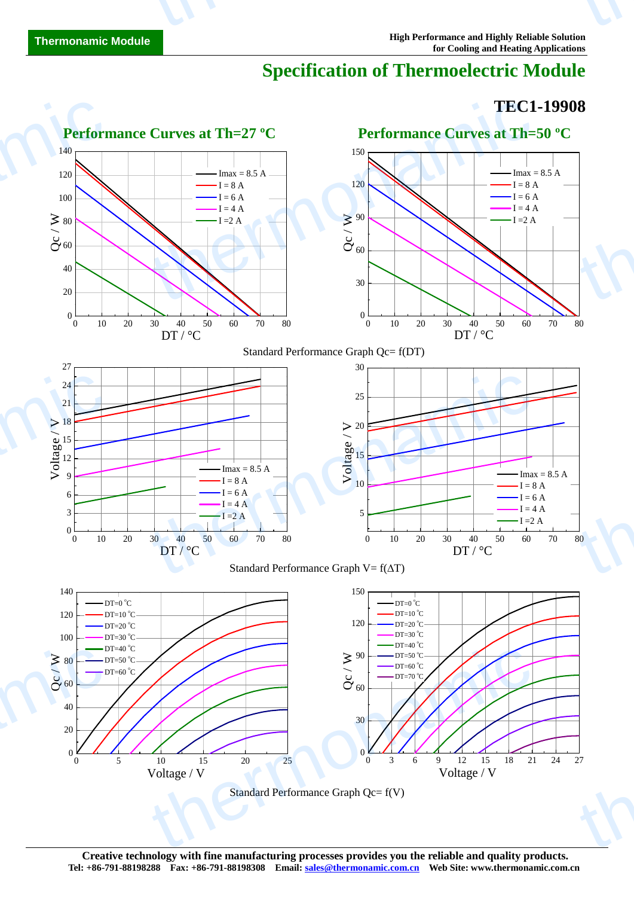# **Specification of Thermoelectric Module**

## **TEC1-19908**